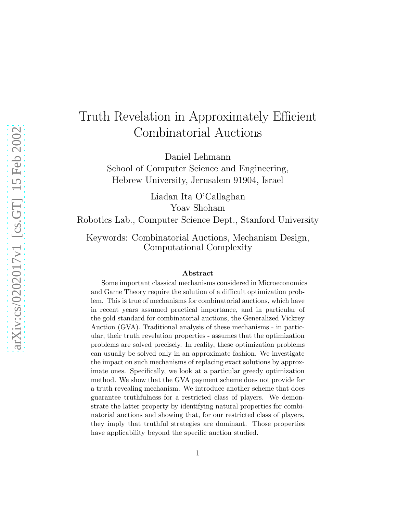# Truth Revelation in Approximately Efficient Combinatorial Auctions

Daniel Lehmann School of Computer Science and Engineering, Hebrew University, Jerusalem 91904, Israel

Liadan Ita O'Callaghan Yoav Shoham Robotics Lab., Computer Science Dept., Stanford University

Keywords: Combinatorial Auctions, Mechanism Design, Computational Complexity

#### Abstract

Some important classical mechanisms considered in Microeconomics and Game Theory require the solution of a difficult optimization problem. This is true of mechanisms for combinatorial auctions, which have in recent years assumed practical importance, and in particular of the gold standard for combinatorial auctions, the Generalized Vickrey Auction (GVA). Traditional analysis of these mechanisms - in particular, their truth revelation properties - assumes that the optimization problems are solved precisely. In reality, these optimization problems can usually be solved only in an approximate fashion. We investigate the impact on such mechanisms of replacing exact solutions by approximate ones. Specifically, we look at a particular greedy optimization method. We show that the GVA payment scheme does not provide for a truth revealing mechanism. We introduce another scheme that does guarantee truthfulness for a restricted class of players. We demonstrate the latter property by identifying natural properties for combinatorial auctions and showing that, for our restricted class of players, they imply that truthful strategies are dominant. Those properties have applicability beyond the specific auction studied.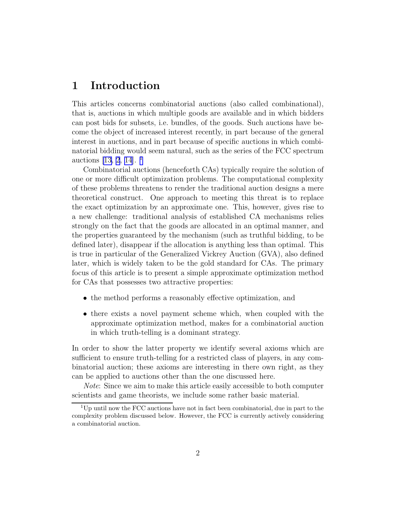# 1 Introduction

This articles concerns combinatorial auctions (also called combinational), that is, auctions in which multiple goods are available and in which bidders can post bids for subsets, i.e. bundles, of the goods. Such auctions have become the object of increased interest recently, in part because of the general interest in auctions, and in part because of specific auctions in which combinatorial bidding would seem natural, such as the series of the FCC spectrum auctions [\[13](#page-33-0), [2](#page-32-0), [14\]](#page-33-0). <sup>1</sup>

Combinatorial auctions (henceforth CAs) typically require the solution of one or more difficult optimization problems. The computational complexity of these problems threatens to render the traditional auction designs a mere theoretical construct. One approach to meeting this threat is to replace the exact optimization by an approximate one. This, however, gives rise to a new challenge: traditional analysis of established CA mechanisms relies strongly on the fact that the goods are allocated in an optimal manner, and the properties guaranteed by the mechanism (such as truthful bidding, to be defined later), disappear if the allocation is anything less than optimal. This is true in particular of the Generalized Vickrey Auction (GVA), also defined later, which is widely taken to be the gold standard for CAs. The primary focus of this article is to present a simple approximate optimization method for CAs that possesses two attractive properties:

- the method performs a reasonably effective optimization, and
- there exists a novel payment scheme which, when coupled with the approximate optimization method, makes for a combinatorial auction in which truth-telling is a dominant strategy.

In order to show the latter property we identify several axioms which are sufficient to ensure truth-telling for a restricted class of players, in any combinatorial auction; these axioms are interesting in there own right, as they can be applied to auctions other than the one discussed here.

Note: Since we aim to make this article easily accessible to both computer scientists and game theorists, we include some rather basic material.

<sup>1</sup>Up until now the FCC auctions have not in fact been combinatorial, due in part to the complexity problem discussed below. However, the FCC is currently actively considering a combinatorial auction.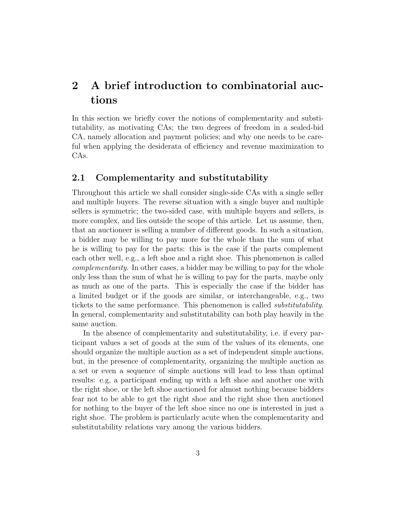# <span id="page-2-0"></span>2 A brief introduction to combinatorial auctions

In this section we briefly cover the notions of complementarity and substitutability, as motivating CAs; the two degrees of freedom in a sealed-bid CA, namely allocation and payment policies; and why one needs to be careful when applying the desiderata of efficiency and revenue maximization to CAs.

#### 2.1 Complementarity and substitutability

Throughout this article we shall consider single-side CAs with a single seller and multiple buyers. The reverse situation with a single buyer and multiple sellers is symmetric; the two-sided case, with multiple buyers and sellers, is more complex, and lies outside the scope of this article. Let us assume, then, that an auctioneer is selling a number of different goods. In such a situation, a bidder may be willing to pay more for the whole than the sum of what he is willing to pay for the parts: this is the case if the parts complement each other well, e.g., a left shoe and a right shoe. This phenomenon is called complementarity. In other cases, a bidder may be willing to pay for the whole only less than the sum of what he is willing to pay for the parts, maybe only as much as one of the parts. This is especially the case if the bidder has a limited budget or if the goods are similar, or interchangeable, e.g., two tickets to the same performance. This phenomenon is called substitutability. In general, complementarity and substitutability can both play heavily in the same auction.

In the absence of complementarity and substitutability, i.e. if every participant values a set of goods at the sum of the values of its elements, one should organize the multiple auction as a set of independent simple auctions, but, in the presence of complementarity, organizing the multiple auction as a set or even a sequence of simple auctions will lead to less than optimal results: e.g, a participant ending up with a left shoe and another one with the right shoe, or the left shoe auctioned for almost nothing because bidders fear not to be able to get the right shoe and the right shoe then auctioned for nothing to the buyer of the left shoe since no one is interested in just a right shoe. The problem is particularly acute when the complementarity and substitutability relations vary among the various bidders.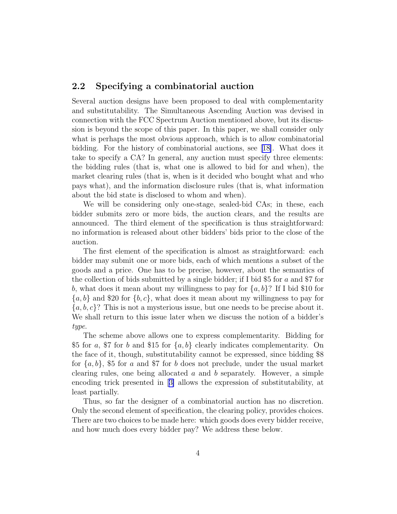#### 2.2 Specifying a combinatorial auction

Several auction designs have been proposed to deal with complementarity and substitutability. The Simultaneous Ascending Auction was devised in connection with the FCC Spectrum Auction mentioned above, but its discussion is beyond the scope of this paper. In this paper, we shall consider only what is perhaps the most obvious approach, which is to allow combinatorial bidding. For the history of combinatorial auctions, see[[18\]](#page-34-0). What does it take to specify a CA? In general, any auction must specify three elements: the bidding rules (that is, what one is allowed to bid for and when), the market clearing rules (that is, when is it decided who bought what and who pays what), and the information disclosure rules (that is, what information about the bid state is disclosed to whom and when).

We will be considering only one-stage, sealed-bid CAs; in these, each bidder submits zero or more bids, the auction clears, and the results are announced. The third element of the specification is thus straightforward: no information is released about other bidders' bids prior to the close of the auction.

The first element of the specification is almost as straightforward: each bidder may submit one or more bids, each of which mentions a subset of the goods and a price. One has to be precise, however, about the semantics of the collection of bids submitted by a single bidder; if I bid \$5 for a and \$7 for b, what does it mean about my willingness to pay for  $\{a, b\}$ ? If I bid \$10 for  ${a, b}$  and \$20 for  ${b, c}$ , what does it mean about my willingness to pay for  $\{a, b, c\}$ ? This is not a mysterious issue, but one needs to be precise about it. We shall return to this issue later when we discuss the notion of a bidder's type.

The scheme above allows one to express complementarity. Bidding for \$5 for a, \$7 for b and \$15 for  $\{a, b\}$  clearly indicates complementarity. On the face of it, though, substitutability cannot be expressed, since bidding \$8 for  $\{a, b\}$ , \$5 for a and \$7 for b does not preclude, under the usual market clearing rules, one being allocated  $a$  and  $b$  separately. However, a simple encoding trick presented in[[3\]](#page-32-0) allows the expression of substitutability, at least partially.

Thus, so far the designer of a combinatorial auction has no discretion. Only the second element of specification, the clearing policy, provides choices. There are two choices to be made here: which goods does every bidder receive, and how much does every bidder pay? We address these below.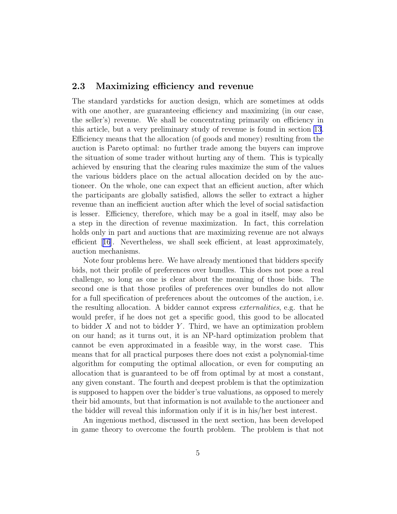#### 2.3 Maximizing efficiency and revenue

The standard yardsticks for auction design, which are sometimes at odds with one another, are guaranteeing efficiency and maximizing (in our case, the seller's) revenue. We shall be concentrating primarily on efficiency in this article, but a very preliminary study of revenue is found in section [13](#page-29-0). Efficiency means that the allocation (of goods and money) resulting from the auction is Pareto optimal: no further trade among the buyers can improve the situation of some trader without hurting any of them. This is typically achieved by ensuring that the clearing rules maximize the sum of the values the various bidders place on the actual allocation decided on by the auctioneer. On the whole, one can expect that an efficient auction, after which the participants are globally satisfied, allows the seller to extract a higher revenue than an inefficient auction after which the level of social satisfaction is lesser. Efficiency, therefore, which may be a goal in itself, may also be a step in the direction of revenue maximization. In fact, this correlation holds only in part and auctions that are maximizing revenue are not always efficient[[16](#page-33-0)]. Nevertheless, we shall seek efficient, at least approximately, auction mechanisms.

Note four problems here. We have already mentioned that bidders specify bids, not their profile of preferences over bundles. This does not pose a real challenge, so long as one is clear about the meaning of those bids. The second one is that those profiles of preferences over bundles do not allow for a full specification of preferences about the outcomes of the auction, i.e. the resulting allocation. A bidder cannot express externalities, e.g. that he would prefer, if he does not get a specific good, this good to be allocated to bidder  $X$  and not to bidder  $Y$ . Third, we have an optimization problem on our hand; as it turns out, it is an NP-hard optimization problem that cannot be even approximated in a feasible way, in the worst case. This means that for all practical purposes there does not exist a polynomial-time algorithm for computing the optimal allocation, or even for computing an allocation that is guaranteed to be off from optimal by at most a constant, any given constant. The fourth and deepest problem is that the optimization is supposed to happen over the bidder's true valuations, as opposed to merely their bid amounts, but that information is not available to the auctioneer and the bidder will reveal this information only if it is in his/her best interest.

An ingenious method, discussed in the next section, has been developed in game theory to overcome the fourth problem. The problem is that not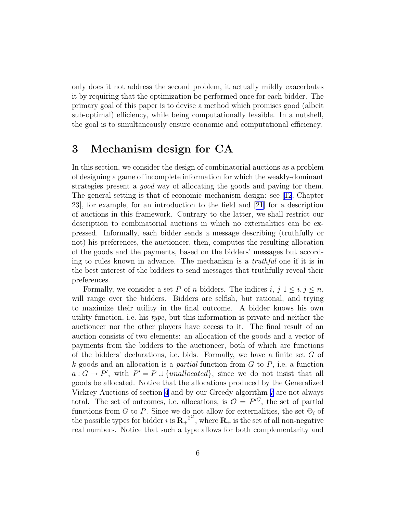only does it not address the second problem, it actually mildly exacerbates it by requiring that the optimization be performed once for each bidder. The primary goal of this paper is to devise a method which promises good (albeit sub-optimal) efficiency, while being computationally feasible. In a nutshell, the goal is to simultaneously ensure economic and computational efficiency.

# 3 Mechanism design for CA

In this section, we consider the design of combinatorial auctions as a problem of designing a game of incomplete information for which the weakly-dominant strategies present a good way of allocating the goods and paying for them. The general setting is that of economic mechanism design: see[[12](#page-33-0), Chapter 23], for example, for an introduction to the field and[[21](#page-34-0)] for a description of auctions in this framework. Contrary to the latter, we shall restrict our description to combinatorial auctions in which no externalities can be expressed. Informally, each bidder sends a message describing (truthfully or not) his preferences, the auctioneer, then, computes the resulting allocation of the goods and the payments, based on the bidders' messages but according to rules known in advance. The mechanism is a *truthful* one if it is in the best interest of the bidders to send messages that truthfully reveal their preferences.

Formally, we consider a set P of n bidders. The indices i,  $j \in i, j \leq n$ , will range over the bidders. Bidders are selfish, but rational, and trying to maximize their utility in the final outcome. A bidder knows his own utility function, i.e. his type, but this information is private and neither the auctioneer nor the other players have access to it. The final result of an auction consists of two elements: an allocation of the goods and a vector of payments from the bidders to the auctioneer, both of which are functions of the bidders' declarations, i.e. bids. Formally, we have a finite set  $G$  of k goods and an allocation is a *partial* function from  $G$  to  $P$ , i.e. a function  $a: G \to P'$ , with  $P' = P \cup \{unallocated\}$ , since we do not insist that all goods be allocated. Notice that the allocations produced by the Generalized Vickrey Auctions of section [4](#page-7-0) and by our Greedy algorithm [7](#page-12-0) are not always total. The set of outcomes, i.e. allocations, is  $\mathcal{O} = P^{G}$ , the set of partial functions from G to P. Since we do not allow for externalities, the set  $\Theta_i$  of the possible types for bidder i is  $\mathbf{R}_{+}^{\ 2}$ , where  $\mathbf{R}_{+}$  is the set of all non-negative real numbers. Notice that such a type allows for both complementarity and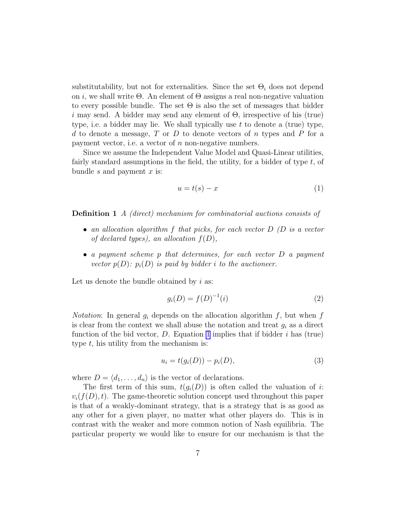<span id="page-6-0"></span>substitutability, but not for externalities. Since the set  $\Theta_i$  does not depend on i, we shall write  $\Theta$ . An element of  $\Theta$  assigns a real non-negative valuation to every possible bundle. The set  $\Theta$  is also the set of messages that bidder i may send. A bidder may send any element of  $\Theta$ , irrespective of his (true) type, i.e. a bidder may lie. We shall typically use  $t$  to denote a (true) type, d to denote a message,  $T$  or  $D$  to denote vectors of  $n$  types and  $P$  for a payment vector, i.e. a vector of  $n$  non-negative numbers.

Since we assume the Independent Value Model and Quasi-Linear utilities, fairly standard assumptions in the field, the utility, for a bidder of type t, of bundle  $s$  and payment  $x$  is:

$$
u = t(s) - x \tag{1}
$$

Definition 1 A (direct) mechanism for combinatorial auctions consists of

- an allocation algorithm f that picks, for each vector D (D is a vector of declared types), an allocation  $f(D)$ ,
- a payment scheme p that determines, for each vector D a payment vector  $p(D)$ :  $p_i(D)$  is paid by bidder i to the auctioneer.

Let us denote the bundle obtained by  $i$  as:

$$
g_i(D) = f(D)^{-1}(i)
$$
 (2)

*Notation*: In general  $g_i$  depends on the allocation algorithm f, but when f is clear from the context we shall abuse the notation and treat  $g_i$  as a direct function of the bid vector,  $D$ . Equation 1 implies that if bidder i has (true) type t, his utility from the mechanism is:

$$
u_i = t(g_i(D)) - p_i(D),
$$
\n(3)

where  $D = \langle d_1, \ldots, d_n \rangle$  is the vector of declarations.

The first term of this sum,  $t(g_i(D))$  is often called the valuation of i:  $v_i(f(D), t)$ . The game-theoretic solution concept used throughout this paper is that of a weakly-dominant strategy, that is a strategy that is as good as any other for a given player, no matter what other players do. This is in contrast with the weaker and more common notion of Nash equilibria. The particular property we would like to ensure for our mechanism is that the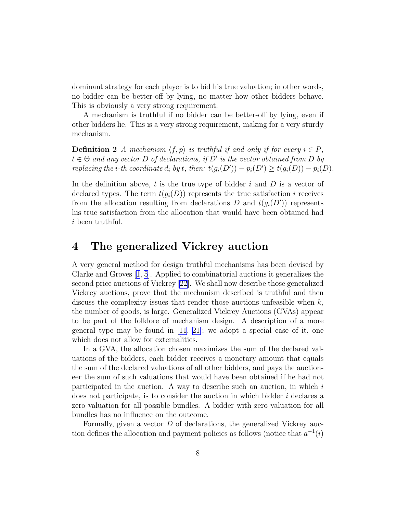<span id="page-7-0"></span>dominant strategy for each player is to bid his true valuation; in other words, no bidder can be better-off by lying, no matter how other bidders behave. This is obviously a very strong requirement.

A mechanism is truthful if no bidder can be better-off by lying, even if other bidders lie. This is a very strong requirement, making for a very sturdy mechanism.

**Definition 2** A mechanism  $\langle f, p \rangle$  is truthful if and only if for every  $i \in P$ ,  $t \in \Theta$  and any vector D of declarations, if D' is the vector obtained from D by replacing the *i*-th coordinate  $d_i$  by t, then:  $t(g_i(D')) - p_i(D') \ge t(g_i(D)) - p_i(D)$ .

In the definition above,  $t$  is the true type of bidder  $i$  and  $D$  is a vector of declared types. The term  $t(g_i(D))$  represents the true satisfaction i receives from the allocation resulting from declarations  $D$  and  $t(g_i(D'))$  represents his true satisfaction from the allocation that would have been obtained had i been truthful.

# 4 The generalized Vickrey auction

A very general method for design truthful mechanisms has been devised by Clarke and Groves [\[1](#page-32-0), [5](#page-33-0)]. Applied to combinatorial auctions it generalizes the second price auctions of Vickrey [\[22](#page-34-0)]. We shall now describe those generalized Vickrey auctions, prove that the mechanism described is truthful and then discuss the complexity issues that render those auctions unfeasible when  $k$ , the number of goods, is large. Generalized Vickrey Auctions (GVAs) appear to be part of the folklore of mechanism design. A description of a more general type may be found in [\[11](#page-33-0), [21\]](#page-34-0); we adopt a special case of it, one which does not allow for externalities.

In a GVA, the allocation chosen maximizes the sum of the declared valuations of the bidders, each bidder receives a monetary amount that equals the sum of the declared valuations of all other bidders, and pays the auctioneer the sum of such valuations that would have been obtained if he had not participated in the auction. A way to describe such an auction, in which  $i$ does not participate, is to consider the auction in which bidder  $i$  declares a zero valuation for all possible bundles. A bidder with zero valuation for all bundles has no influence on the outcome.

Formally, given a vector D of declarations, the generalized Vickrey auction defines the allocation and payment policies as follows (notice that  $a^{-1}(i)$ )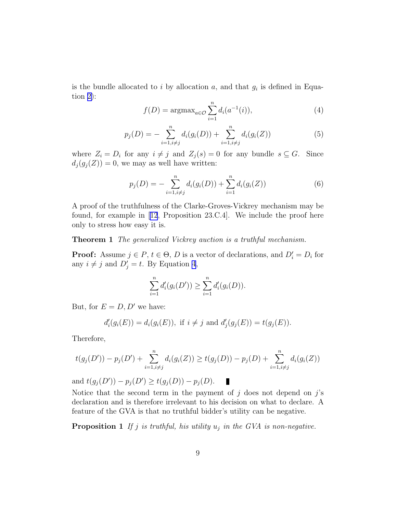<span id="page-8-0"></span>is the bundle allocated to i by allocation  $a$ , and that  $g_i$  is defined in Equation [2\)](#page-6-0):

$$
f(D) = \operatorname{argmax}_{a \in \mathcal{O}} \sum_{i=1}^{n} d_i(a^{-1}(i)),
$$
 (4)

$$
p_j(D) = -\sum_{i=1, i \neq j}^{n} d_i(g_i(D)) + \sum_{i=1, i \neq j}^{n} d_i(g_i(Z))
$$
\n(5)

where  $Z_i = D_i$  for any  $i \neq j$  and  $Z_j(s) = 0$  for any bundle  $s \subseteq G$ . Since  $d_i(g_i(Z)) = 0$ , we may as well have written:

$$
p_j(D) = -\sum_{i=1, i \neq j}^{n} d_i(g_i(D)) + \sum_{i=1}^{n} d_i(g_i(Z))
$$
\n(6)

A proof of the truthfulness of the Clarke-Groves-Vickrey mechanism may be found, for example in[[12](#page-33-0), Proposition 23.C.4]. We include the proof here only to stress how easy it is.

Theorem 1 The generalized Vickrey auction is a truthful mechanism.

**Proof:** Assume  $j \in P$ ,  $t \in \Theta$ , D is a vector of declarations, and  $D'_i = D_i$  for any  $i \neq j$  and  $D'_j = t$ . By Equation 4,

$$
\sum_{i=1}^{n} d'_{i}(g_{i}(D')) \geq \sum_{i=1}^{n} d'_{i}(g_{i}(D)).
$$

But, for  $E = D, D'$  we have:

$$
d'_{i}(g_{i}(E)) = d_{i}(g_{i}(E)),
$$
 if  $i \neq j$  and  $d'_{j}(g_{j}(E)) = t(g_{j}(E)).$ 

Therefore,

$$
t(g_j(D')) - p_j(D') + \sum_{i=1, i \neq j}^n d_i(g_i(Z)) \ge t(g_j(D)) - p_j(D) + \sum_{i=1, i \neq j}^n d_i(g_i(Z))
$$
  
and  $t(g_j(D')) - p_j(D') \ge t(g_j(D)) - p_j(D)$ .

Notice that the second term in the payment of j does not depend on j's declaration and is therefore irrelevant to his decision on what to declare. A feature of the GVA is that no truthful bidder's utility can be negative.

**Proposition 1** If j is truthful, his utility  $u_j$  in the GVA is non-negative.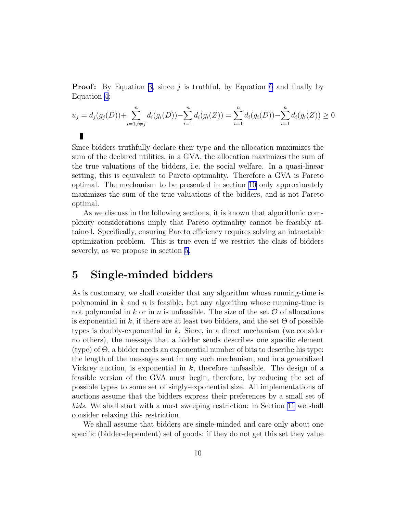<span id="page-9-0"></span>**Proof:** By Equation [3,](#page-6-0) since j is truthful, by Equation [6](#page-8-0) and finally by Equation [4](#page-8-0):

$$
u_j = d_j(g_j(D)) + \sum_{i=1, i \neq j}^n d_i(g_i(D)) - \sum_{i=1}^n d_i(g_i(Z)) = \sum_{i=1}^n d_i(g_i(D)) - \sum_{i=1}^n d_i(g_i(Z)) \ge 0
$$

Since bidders truthfully declare their type and the allocation maximizes the sum of the declared utilities, in a GVA, the allocation maximizes the sum of the true valuations of the bidders, i.e. the social welfare. In a quasi-linear setting, this is equivalent to Pareto optimality. Therefore a GVA is Pareto optimal. The mechanism to be presented in section [10](#page-22-0) only approximately maximizes the sum of the true valuations of the bidders, and is not Pareto optimal.

As we discuss in the following sections, it is known that algorithmic complexity considerations imply that Pareto optimality cannot be feasibly attained. Specifically, ensuring Pareto efficiency requires solving an intractable optimization problem. This is true even if we restrict the class of bidders severely, as we propose in section 5.

## 5 Single-minded bidders

As is customary, we shall consider that any algorithm whose running-time is polynomial in k and n is feasible, but any algorithm whose running-time is not polynomial in k or in n is unfeasible. The size of the set  $\mathcal O$  of allocations is exponential in k, if there are at least two bidders, and the set  $\Theta$  of possible types is doubly-exponential in  $k$ . Since, in a direct mechanism (we consider no others), the message that a bidder sends describes one specific element (type) of Θ, a bidder needs an exponential number of bits to describe his type: the length of the messages sent in any such mechanism, and in a generalized Vickrey auction, is exponential in  $k$ , therefore unfeasible. The design of a feasible version of the GVA must begin, therefore, by reducing the set of possible types to some set of singly-exponential size. All implementations of auctions assume that the bidders express their preferences by a small set of bids. We shall start with a most sweeping restriction: in Section [11](#page-24-0) we shall consider relaxing this restriction.

We shall assume that bidders are single-minded and care only about one specific (bidder-dependent) set of goods: if they do not get this set they value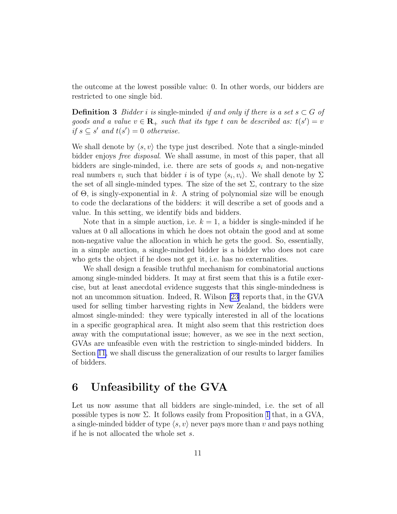the outcome at the lowest possible value: 0. In other words, our bidders are restricted to one single bid.

**Definition 3** Bidder i is single-minded if and only if there is a set  $s \subset G$  of goods and a value  $v \in \mathbf{R}_+$  such that its type t can be described as:  $t(s') = v$ if  $s \subseteq s'$  and  $t(s') = 0$  otherwise.

We shall denote by  $\langle s, v \rangle$  the type just described. Note that a single-minded bidder enjoys free disposal. We shall assume, in most of this paper, that all bidders are single-minded, i.e. there are sets of goods  $s_i$  and non-negative real numbers  $v_i$  such that bidder *i* is of type  $\langle s_i, v_i \rangle$ . We shall denote by  $\Sigma$ the set of all single-minded types. The size of the set  $\Sigma$ , contrary to the size of  $\Theta$ , is singly-exponential in k. A string of polynomial size will be enough to code the declarations of the bidders: it will describe a set of goods and a value. In this setting, we identify bids and bidders.

Note that in a simple auction, i.e.  $k = 1$ , a bidder is single-minded if he values at 0 all allocations in which he does not obtain the good and at some non-negative value the allocation in which he gets the good. So, essentially, in a simple auction, a single-minded bidder is a bidder who does not care who gets the object if he does not get it, i.e. has no externalities.

We shall design a feasible truthful mechanism for combinatorial auctions among single-minded bidders. It may at first seem that this is a futile exercise, but at least anecdotal evidence suggests that this single-mindedness is not an uncommon situation. Indeed, R. Wilson [\[23\]](#page-34-0) reports that, in the GVA used for selling timber harvesting rights in New Zealand, the bidders were almost single-minded: they were typically interested in all of the locations in a specific geographical area. It might also seem that this restriction does away with the computational issue; however, as we see in the next section, GVAs are unfeasible even with the restriction to single-minded bidders. In Section [11,](#page-24-0) we shall discuss the generalization of our results to larger families of bidders.

# 6 Unfeasibility of the GVA

Let us now assume that all bidders are single-minded, i.e. the set of all possible types is now  $\Sigma$ . It follows easily from Proposition [1](#page-8-0) that, in a GVA, a single-minded bidder of type  $\langle s, v \rangle$  never pays more than v and pays nothing if he is not allocated the whole set s.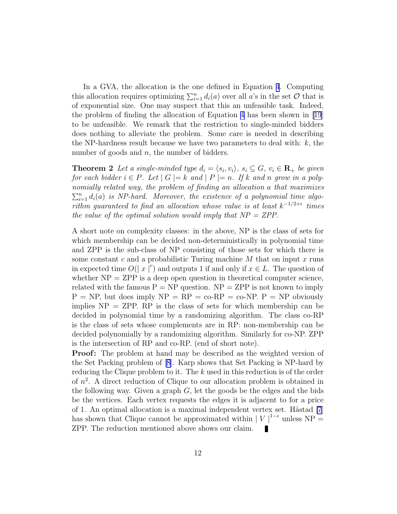<span id="page-11-0"></span>In a GVA, the allocation is the one defined in Equation [4](#page-8-0). Computing this allocation requires optimizing  $\sum_{i=1}^{n} d_i(a)$  over all a's in the set  $\mathcal{O}$  that is of exponential size. One may suspect that this an unfeasible task. Indeed, the problem of finding the allocation of Equation [4](#page-8-0) has been shown in [\[19](#page-34-0)] to be unfeasible. We remark that the restriction to single-minded bidders does nothing to alleviate the problem. Some care is needed in describing the NP-hardness result because we have two parameters to deal with:  $k$ , the number of goods and  $n$ , the number of bidders.

**Theorem 2** Let a single-minded type  $d_i = \langle s_i, v_i \rangle$ ,  $s_i \subseteq G$ ,  $v_i \in \mathbf{R}_+$  be given for each bidder  $i \in P$ . Let  $|G| = k$  and  $|P| = n$ . If k and n grow in a polynomially related way, the problem of finding an allocation a that maximizes  $\sum_{i=1}^{n} d_i(a)$  is NP-hard. Moreover, the existence of a polynomial time algorithm guaranteed to find an allocation whose value is at least  $k^{-1/2+\epsilon}$  times the value of the optimal solution would imply that  $NP = ZPP$ .

A short note on complexity classes: in the above, NP is the class of sets for which membership can be decided non-deterministically in polynomial time and ZPP is the sub-class of NP consisting of those sets for which there is some constant c and a probabilistic Turing machine  $M$  that on input x runs in expected time  $O(|x|^c)$  and outputs 1 if and only if  $x \in L$ . The question of whether  $NP = ZPP$  is a deep open question in theoretical computer science, related with the famous  $P = NP$  question.  $NP = ZPP$  is not known to imply  $P = NP$ , but does imply  $NP = RP = co-RP = co-NP$ .  $P = NP$  obviously implies  $NP = ZPP$ . RP is the class of sets for which membership can be decided in polynomial time by a randomizing algorithm. The class co-RP is the class of sets whose complements are in RP: non-membership can be decided polynomially by a randomizing algorithm. Similarly for co-NP. ZPP is the intersection of RP and co-RP. (end of short note).

**Proof:** The problem at hand may be described as the weighted version of the Set Packing problem of [\[8\]](#page-33-0). Karp shows that Set Packing is NP-hard by reducing the Clique problem to it. The k used in this reduction is of the order of  $n^2$ . A direct reduction of Clique to our allocation problem is obtained in the following way. Given a graph  $G$ , let the goods be the edges and the bids be the vertices. Each vertex requests the edges it is adjacent to for a price of 1. An optimal allocation is a maximal independent vertex set. Håstad [\[7](#page-33-0)] has shown that Clique cannot be approximated within  $|V|^{1-\epsilon}$  unless NP = ZPP. The reduction mentioned above shows our claim.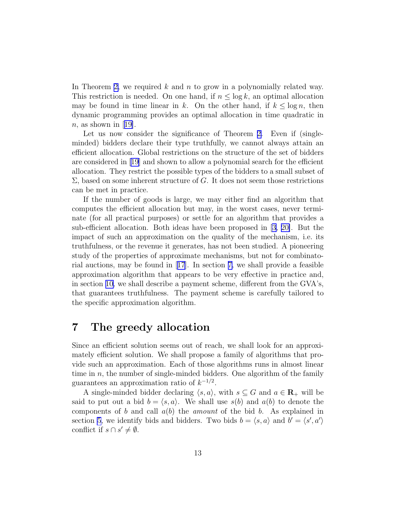<span id="page-12-0"></span>In Theorem [2,](#page-11-0) we required  $k$  and  $n$  to grow in a polynomially related way. This restriction is needed. On one hand, if  $n \leq \log k$ , an optimal allocation may be found in time linear in k. On the other hand, if  $k \leq \log n$ , then dynamic programming provides an optimal allocation in time quadratic in  $n$ ,as shown in [[19\]](#page-34-0).

Let us now consider the significance of Theorem [2.](#page-11-0) Even if (singleminded) bidders declare their type truthfully, we cannot always attain an efficient allocation. Global restrictions on the structure of the set of bidders are considered in [\[19\]](#page-34-0) and shown to allow a polynomial search for the efficient allocation. They restrict the possible types of the bidders to a small subset of  $\Sigma$ , based on some inherent structure of G. It does not seem those restrictions can be met in practice.

If the number of goods is large, we may either find an algorithm that computes the efficient allocation but may, in the worst cases, never terminate (for all practical purposes) or settle for an algorithm that provides a sub-efficient allocation. Both ideas have been proposed in [\[3](#page-32-0), [20\]](#page-34-0). But the impact of such an approximation on the quality of the mechanism, i.e. its truthfulness, or the revenue it generates, has not been studied. A pioneering study of the properties of approximate mechanisms, but not for combinatorialauctions, may be found in  $[17]$  $[17]$  $[17]$ . In section 7, we shall provide a feasible approximation algorithm that appears to be very effective in practice and, in section [10,](#page-22-0) we shall describe a payment scheme, different from the GVA's, that guarantees truthfulness. The payment scheme is carefully tailored to the specific approximation algorithm.

## 7 The greedy allocation

Since an efficient solution seems out of reach, we shall look for an approximately efficient solution. We shall propose a family of algorithms that provide such an approximation. Each of those algorithms runs in almost linear time in  $n$ , the number of single-minded bidders. One algorithm of the family guarantees an approximation ratio of  $k^{-1/2}$ .

A single-minded bidder declaring  $\langle s, a \rangle$ , with  $s \subseteq G$  and  $a \in \mathbb{R}_+$  will be said to put out a bid  $b = \langle s, a \rangle$ . We shall use  $s(b)$  and  $a(b)$  to denote the components of b and call  $a(b)$  the amount of the bid b. As explained in section [5](#page-9-0), we identify bids and bidders. Two bids  $b = \langle s, a \rangle$  and  $b' = \langle s', a' \rangle$ conflict if  $s \cap s' \neq \emptyset$ .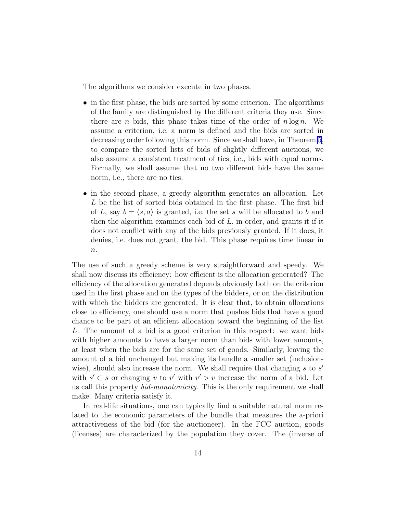The algorithms we consider execute in two phases.

- in the first phase, the bids are sorted by some criterion. The algorithms of the family are distinguished by the different criteria they use. Since there are *n* bids, this phase takes time of the order of  $n \log n$ . We assume a criterion, i.e. a norm is defined and the bids are sorted in decreasing order following this norm. Since we shall have, in Theorem [5](#page-23-0), to compare the sorted lists of bids of slightly different auctions, we also assume a consistent treatment of ties, i.e., bids with equal norms. Formally, we shall assume that no two different bids have the same norm, i.e., there are no ties.
- in the second phase, a greedy algorithm generates an allocation. Let L be the list of sorted bids obtained in the first phase. The first bid of L, say  $b = \langle s, a \rangle$  is granted, i.e. the set s will be allocated to b and then the algorithm examines each bid of  $L$ , in order, and grants it if it does not conflict with any of the bids previously granted. If it does, it denies, i.e. does not grant, the bid. This phase requires time linear in  $n$ .

The use of such a greedy scheme is very straightforward and speedy. We shall now discuss its efficiency: how efficient is the allocation generated? The efficiency of the allocation generated depends obviously both on the criterion used in the first phase and on the types of the bidders, or on the distribution with which the bidders are generated. It is clear that, to obtain allocations close to efficiency, one should use a norm that pushes bids that have a good chance to be part of an efficient allocation toward the beginning of the list L. The amount of a bid is a good criterion in this respect: we want bids with higher amounts to have a larger norm than bids with lower amounts, at least when the bids are for the same set of goods. Similarly, leaving the amount of a bid unchanged but making its bundle a smaller set (inclusionwise), should also increase the norm. We shall require that changing  $s$  to  $s'$ with  $s' \subset s$  or changing v to v' with  $v' > v$  increase the norm of a bid. Let us call this property *bid-monotonicity*. This is the only requirement we shall make. Many criteria satisfy it.

In real-life situations, one can typically find a suitable natural norm related to the economic parameters of the bundle that measures the a-priori attractiveness of the bid (for the auctioneer). In the FCC auction, goods (licenses) are characterized by the population they cover. The (inverse of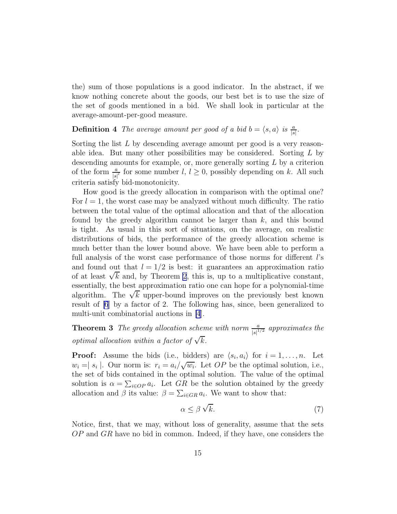<span id="page-14-0"></span>the) sum of those populations is a good indicator. In the abstract, if we know nothing concrete about the goods, our best bet is to use the size of the set of goods mentioned in a bid. We shall look in particular at the average-amount-per-good measure.

# **Definition 4** The average amount per good of a bid  $b = \langle s, a \rangle$  is  $\frac{a}{|s|}$ .

Sorting the list L by descending average amount per good is a very reasonable idea. But many other possibilities may be considered. Sorting  $L$  by descending amounts for example, or, more generally sorting L by a criterion of the form  $\frac{a}{|s|^l}$  for some number  $l, l \geq 0$ , possibly depending on k. All such criteria satisfy bid-monotonicity.

How good is the greedy allocation in comparison with the optimal one? For  $l = 1$ , the worst case may be analyzed without much difficulty. The ratio between the total value of the optimal allocation and that of the allocation found by the greedy algorithm cannot be larger than  $k$ , and this bound is tight. As usual in this sort of situations, on the average, on realistic distributions of bids, the performance of the greedy allocation scheme is much better than the lower bound above. We have been able to perform a full analysis of the worst case performance of those norms for different l's and found out that  $l = 1/2$  is best: it guarantees an approximation ratio of at least  $\sqrt{k}$  and, by Theorem [2](#page-11-0), this is, up to a multiplicative constant, essentially, the best approximation ratio one can hope for a polynomial-time algorithm. The  $\sqrt{k}$  upper-bound improves on the previously best known result of [\[6](#page-33-0)] by a factor of 2. The following has, since, been generalized to multi-unit combinatorial auctions in [\[4](#page-32-0)].

**Theorem 3** The greedy allocation scheme with norm  $\frac{a}{|s|^{1/2}}$  approximates the optimal allocation within a factor of  $\sqrt{k}$ .

**Proof:** Assume the bids (i.e., bidders) are  $\langle s_i, a_i \rangle$  for  $i = 1, ..., n$ . Let  $w_i = |s_i|$ . Our norm is:  $r_i = a_i / \sqrt{w_i}$ . Let *OP* be the optimal solution, i.e., the set of bids contained in the optimal solution. The value of the optimal solution is  $\alpha = \sum_{i \in OP} a_i$ . Let GR be the solution obtained by the greedy allocation and  $\beta$  its value:  $\beta = \sum_{i \in GR} a_i$ . We want to show that:

$$
\alpha \le \beta \sqrt{k}.\tag{7}
$$

Notice, first, that we may, without loss of generality, assume that the sets  $OP$  and  $GR$  have no bid in common. Indeed, if they have, one considers the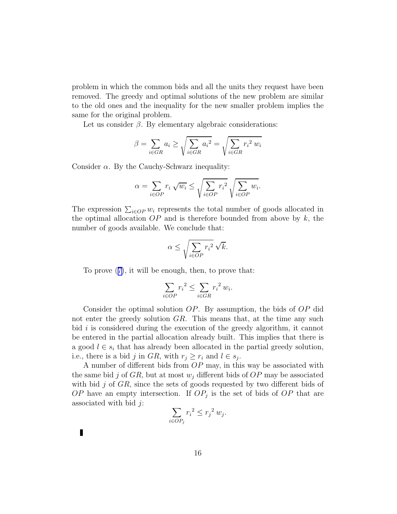problem in which the common bids and all the units they request have been removed. The greedy and optimal solutions of the new problem are similar to the old ones and the inequality for the new smaller problem implies the same for the original problem.

Let us consider  $\beta$ . By elementary algebraic considerations:

$$
\beta = \sum_{i \in GR} a_i \ge \sqrt{\sum_{i \in GR} a_i^2} = \sqrt{\sum_{i \in GR} r_i^2 w_i}
$$

Consider  $\alpha$ . By the Cauchy-Schwarz inequality:

$$
\alpha = \sum_{i \in OP} r_i \sqrt{w_i} \le \sqrt{\sum_{i \in OP} r_i^2} \sqrt{\sum_{i \in OP} w_i}.
$$

The expression  $\sum_{i\in OP} w_i$  represents the total number of goods allocated in the optimal allocation  $OP$  and is therefore bounded from above by  $k$ , the number of goods available. We conclude that:

$$
\alpha \le \sqrt{\sum_{i \in OP} {r_i}^2} \sqrt{k}.
$$

To prove([7\)](#page-14-0), it will be enough, then, to prove that:

$$
\sum_{i \in OP} {r_i}^2 \le \sum_{i \in GR} {r_i}^2 w_i.
$$

Consider the optimal solution OP. By assumption, the bids of OP did not enter the greedy solution GR. This means that, at the time any such bid  $i$  is considered during the execution of the greedy algorithm, it cannot be entered in the partial allocation already built. This implies that there is a good  $l \in s_i$  that has already been allocated in the partial greedy solution, i.e., there is a bid j in GR, with  $r_j \geq r_i$  and  $l \in s_j$ .

A number of different bids from OP may, in this way be associated with the same bid j of GR, but at most  $w_i$  different bids of OP may be associated with bid  $j$  of  $GR$ , since the sets of goods requested by two different bids of  $OP$  have an empty intersection. If  $OP_j$  is the set of bids of  $OP$  that are associated with bid  $j$ :

$$
\sum_{i \in OP_j} {r_i}^2 \leq {r_j}^2 w_j.
$$

П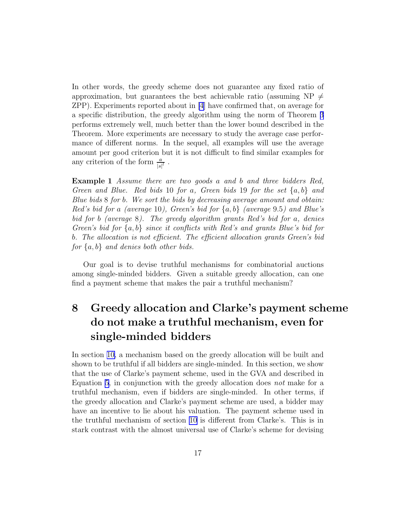<span id="page-16-0"></span>In other words, the greedy scheme does not guarantee any fixed ratio of approximation, but guarantees the best achievable ratio (assuming  $NP \neq$ ZPP). Experiments reported about in [\[4](#page-32-0)] have confirmed that, on average for a specific distribution, the greedy algorithm using the norm of Theorem [3](#page-14-0) performs extremely well, much better than the lower bound described in the Theorem. More experiments are necessary to study the average case performance of different norms. In the sequel, all examples will use the average amount per good criterion but it is not difficult to find similar examples for any criterion of the form  $\frac{a}{|s|^l}$ .

Example 1 Assume there are two goods a and b and three bidders Red, Green and Blue. Red bids 10 for a, Green bids 19 for the set  $\{a, b\}$  and Blue bids 8 for b. We sort the bids by decreasing average amount and obtain: Red's bid for a (average 10), Green's bid for  $\{a, b\}$  (average 9.5) and Blue's bid for b (average 8). The greedy algorithm grants Red's bid for a, denies Green's bid for  $\{a, b\}$  since it conflicts with Red's and grants Blue's bid for b. The allocation is not efficient. The efficient allocation grants Green's bid for  $\{a, b\}$  and denies both other bids.

Our goal is to devise truthful mechanisms for combinatorial auctions among single-minded bidders. Given a suitable greedy allocation, can one find a payment scheme that makes the pair a truthful mechanism?

# 8 Greedy allocation and Clarke's payment scheme do not make a truthful mechanism, even for single-minded bidders

In section [10,](#page-22-0) a mechanism based on the greedy allocation will be built and shown to be truthful if all bidders are single-minded. In this section, we show that the use of Clarke's payment scheme, used in the GVA and described in Equation [5,](#page-8-0) in conjunction with the greedy allocation does not make for a truthful mechanism, even if bidders are single-minded. In other terms, if the greedy allocation and Clarke's payment scheme are used, a bidder may have an incentive to lie about his valuation. The payment scheme used in the truthful mechanism of section [10](#page-22-0) is different from Clarke's. This is in stark contrast with the almost universal use of Clarke's scheme for devising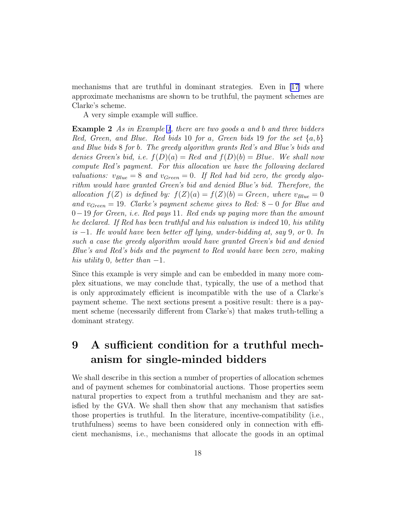<span id="page-17-0"></span>mechanisms that are truthful in dominant strategies. Even in  $|17|$  where approximate mechanisms are shown to be truthful, the payment schemes are Clarke's scheme.

A very simple example will suffice.

Example 2 As in Example [1](#page-16-0), there are two goods a and b and three bidders Red, Green, and Blue. Red bids 10 for a, Green bids 19 for the set  $\{a, b\}$ and Blue bids 8 for b. The greedy algorithm grants Red's and Blue's bids and denies Green's bid, i.e.  $f(D)(a) = Red$  and  $f(D)(b) = Blue$ . We shall now compute Red's payment. For this allocation we have the following declared valuations:  $v_{Blue} = 8$  and  $v_{Green} = 0$ . If Red had bid zero, the greedy algorithm would have granted Green's bid and denied Blue's bid. Therefore, the allocation  $f(Z)$  is defined by:  $f(Z)(a) = f(Z)(b) = Green$ , where  $v_{Blue} = 0$ and  $v_{Green} = 19$ . Clarke's payment scheme gives to Red: 8 – 0 for Blue and 0−19 for Green, i.e. Red pays 11. Red ends up paying more than the amount he declared. If Red has been truthful and his valuation is indeed 10, his utility is −1. He would have been better off lying, under-bidding at, say 9, or 0. In such a case the greedy algorithm would have granted Green's bid and denied Blue's and Red's bids and the payment to Red would have been zero, making his utility 0, better than  $-1$ .

Since this example is very simple and can be embedded in many more complex situations, we may conclude that, typically, the use of a method that is only approximately efficient is incompatible with the use of a Clarke's payment scheme. The next sections present a positive result: there is a payment scheme (necessarily different from Clarke's) that makes truth-telling a dominant strategy.

# 9 A sufficient condition for a truthful mechanism for single-minded bidders

We shall describe in this section a number of properties of allocation schemes and of payment schemes for combinatorial auctions. Those properties seem natural properties to expect from a truthful mechanism and they are satisfied by the GVA. We shall then show that any mechanism that satisfies those properties is truthful. In the literature, incentive-compatibility (i.e., truthfulness) seems to have been considered only in connection with efficient mechanisms, i.e., mechanisms that allocate the goods in an optimal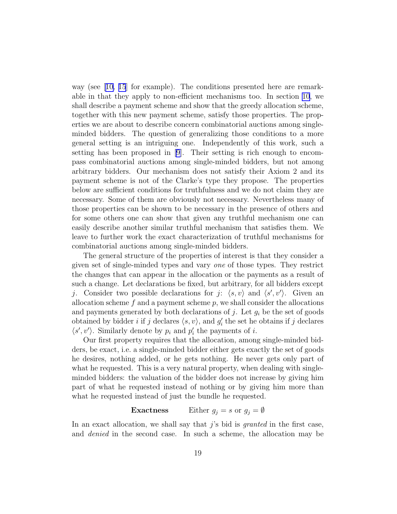way (see[[10, 15](#page-33-0)] for example). The conditions presented here are remarkable in that they apply to non-efficient mechanisms too. In section [10](#page-22-0), we shall describe a payment scheme and show that the greedy allocation scheme, together with this new payment scheme, satisfy those properties. The properties we are about to describe concern combinatorial auctions among singleminded bidders. The question of generalizing those conditions to a more general setting is an intriguing one. Independently of this work, such a setting has been proposed in [\[9\]](#page-33-0). Their setting is rich enough to encompass combinatorial auctions among single-minded bidders, but not among arbitrary bidders. Our mechanism does not satisfy their Axiom 2 and its payment scheme is not of the Clarke's type they propose. The properties below are sufficient conditions for truthfulness and we do not claim they are necessary. Some of them are obviously not necessary. Nevertheless many of those properties can be shown to be necessary in the presence of others and for some others one can show that given any truthful mechanism one can easily describe another similar truthful mechanism that satisfies them. We leave to further work the exact characterization of truthful mechanisms for combinatorial auctions among single-minded bidders.

The general structure of the properties of interest is that they consider a given set of single-minded types and vary one of those types. They restrict the changes that can appear in the allocation or the payments as a result of such a change. Let declarations be fixed, but arbitrary, for all bidders except j. Consider two possible declarations for j:  $\langle s, v \rangle$  and  $\langle s', v' \rangle$ . Given an allocation scheme f and a payment scheme  $p$ , we shall consider the allocations and payments generated by both declarations of  $j$ . Let  $g_i$  be the set of goods obtained by bidder *i* if j declares  $\langle s, v \rangle$ , and  $g'_i$  the set he obtains if j declares  $\langle s', v' \rangle$ . Similarly denote by  $p_i$  and  $p'_i$  the payments of *i*.

Our first property requires that the allocation, among single-minded bidders, be exact, i.e. a single-minded bidder either gets exactly the set of goods he desires, nothing added, or he gets nothing. He never gets only part of what he requested. This is a very natural property, when dealing with singleminded bidders: the valuation of the bidder does not increase by giving him part of what he requested instead of nothing or by giving him more than what he requested instead of just the bundle he requested.

### **Exactness** Either  $g_i = s$  or  $g_i = \emptyset$

In an exact allocation, we shall say that  $j$ 's bid is *granted* in the first case, and denied in the second case. In such a scheme, the allocation may be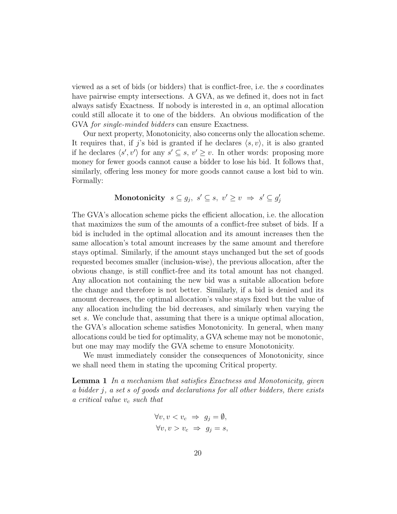<span id="page-19-0"></span>viewed as a set of bids (or bidders) that is conflict-free, i.e. the s coordinates have pairwise empty intersections. A GVA, as we defined it, does not in fact always satisfy Exactness. If nobody is interested in a, an optimal allocation could still allocate it to one of the bidders. An obvious modification of the GVA for single-minded bidders can ensure Exactness.

Our next property, Monotonicity, also concerns only the allocation scheme. It requires that, if j's bid is granted if he declares  $\langle s, v \rangle$ , it is also granted if he declares  $\langle s', v' \rangle$  for any  $s' \subseteq s, v' \geq v$ . In other words: proposing more money for fewer goods cannot cause a bidder to lose his bid. It follows that, similarly, offering less money for more goods cannot cause a lost bid to win. Formally:

$$
\text{Monotonicity} \ \ s \subseteq g_j, \ s' \subseteq s, \ v' \ge v \ \Rightarrow \ s' \subseteq g'_j
$$

The GVA's allocation scheme picks the efficient allocation, i.e. the allocation that maximizes the sum of the amounts of a conflict-free subset of bids. If a bid is included in the optimal allocation and its amount increases then the same allocation's total amount increases by the same amount and therefore stays optimal. Similarly, if the amount stays unchanged but the set of goods requested becomes smaller (inclusion-wise), the previous allocation, after the obvious change, is still conflict-free and its total amount has not changed. Any allocation not containing the new bid was a suitable allocation before the change and therefore is not better. Similarly, if a bid is denied and its amount decreases, the optimal allocation's value stays fixed but the value of any allocation including the bid decreases, and similarly when varying the set s. We conclude that, assuming that there is a unique optimal allocation, the GVA's allocation scheme satisfies Monotonicity. In general, when many allocations could be tied for optimality, a GVA scheme may not be monotonic, but one may may modify the GVA scheme to ensure Monotonicity.

We must immediately consider the consequences of Monotonicity, since we shall need them in stating the upcoming Critical property.

Lemma 1 In a mechanism that satisfies Exactness and Monotonicity, given a bidder j, a set s of goods and declarations for all other bidders, there exists a critical value  $v_c$  such that

$$
\forall v, v < v_c \Rightarrow g_j = \emptyset,
$$
\n
$$
\forall v, v > v_c \Rightarrow g_j = s,
$$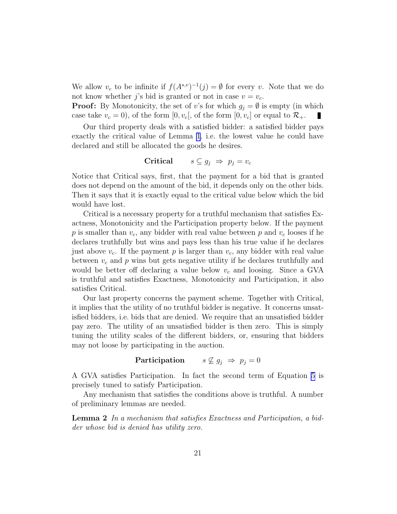<span id="page-20-0"></span>We allow  $v_c$  to be infinite if  $f(A^{s,v})^{-1}(j) = \emptyset$  for every v. Note that we do not know whether j's bid is granted or not in case  $v = v_c$ .

**Proof:** By Monotonicity, the set of v's for which  $g_j = \emptyset$  is empty (in which case take  $v_c = 0$ , of the form  $[0, v_c]$ , of the form  $[0, v_c]$  or equal to  $\mathcal{R}_+$ . П

Our third property deals with a satisfied bidder: a satisfied bidder pays exactly the critical value of Lemma [1,](#page-19-0) i.e. the lowest value he could have declared and still be allocated the goods he desires.

$$
Critical \t s \subseteq g_j \Rightarrow p_j = v_c
$$

Notice that Critical says, first, that the payment for a bid that is granted does not depend on the amount of the bid, it depends only on the other bids. Then it says that it is exactly equal to the critical value below which the bid would have lost.

Critical is a necessary property for a truthful mechanism that satisfies Exactness, Monotonicity and the Participation property below. If the payment p is smaller than  $v_c$ , any bidder with real value between p and  $v_c$  looses if he declares truthfully but wins and pays less than his true value if he declares just above  $v_c$ . If the payment p is larger than  $v_c$ , any bidder with real value between  $v_c$  and p wins but gets negative utility if he declares truthfully and would be better off declaring a value below  $v_c$  and loosing. Since a GVA is truthful and satisfies Exactness, Monotonicity and Participation, it also satisfies Critical.

Our last property concerns the payment scheme. Together with Critical, it implies that the utility of no truthful bidder is negative. It concerns unsatisfied bidders, i.e. bids that are denied. We require that an unsatisfied bidder pay zero. The utility of an unsatisfied bidder is then zero. This is simply tuning the utility scales of the different bidders, or, ensuring that bidders may not loose by participating in the auction.

Participation  $s \nsubseteq g_j \Rightarrow p_j = 0$ 

A GVA satisfies Participation. In fact the second term of Equation [5](#page-8-0) is precisely tuned to satisfy Participation.

Any mechanism that satisfies the conditions above is truthful. A number of preliminary lemmas are needed.

Lemma 2 In a mechanism that satisfies Exactness and Participation, a bidder whose bid is denied has utility zero.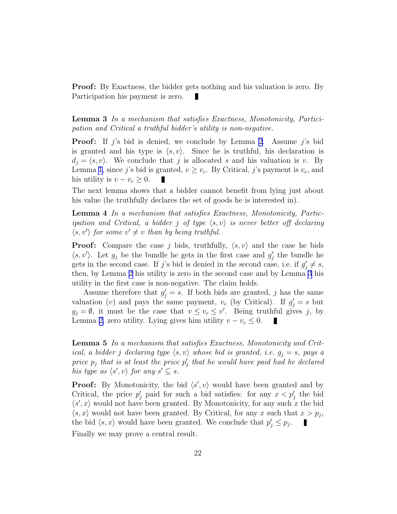<span id="page-21-0"></span>**Proof:** By Exactness, the bidder gets nothing and his valuation is zero. By Participation his payment is zero. П

Lemma 3 In a mechanism that satisfies Exactness, Monotonicity, Participation and Critical a truthful bidder's utility is non-negative.

**Proof:** If  $i$ 's bid is denied, we conclude by Lemma [2](#page-20-0). Assume  $i$ 's bid is granted and his type is  $\langle s, v \rangle$ . Since he is truthful, his declaration is  $d_j = \langle s, v \rangle$ . We conclude that j is allocated s and his valuation is v. By Lemma [1,](#page-19-0) since j's bid is granted,  $v \ge v_c$ . By Critical, j's payment is  $v_c$ , and his utility is  $v - v_c \geq 0$ .

The next lemma shows that a bidder cannot benefit from lying just about his value (he truthfully declares the set of goods he is interested in).

Lemma 4 In a mechanism that satisfies Exactness, Monotonicity, Participation and Critical, a bidder j of type  $\langle s, v \rangle$  is never better off declaring  $\langle s, v' \rangle$  for some  $v' \neq v$  than by being truthful.

**Proof:** Compare the case j bids, truthfully,  $\langle s, v \rangle$  and the case he bids  $\langle s, v' \rangle$ . Let  $g_j$  be the bundle he gets in the first case and  $g'_j$  the bundle he gets in the second case. If j's bid is denied in the second case, i.e. if  $g'_j \neq s$ , then, by Lemma [2](#page-20-0) his utility is zero in the second case and by Lemma 3 his utility in the first case is non-negative. The claim holds.

Assume therefore that  $g'_j = s$ . If both bids are granted, j has the same valuation (*v*) and pays the same payment,  $v_c$  (by Critical). If  $g'_j = s$  but  $g_j = \emptyset$ , it must be the case that  $v \leq v_c \leq v'$ . Being truthful gives j, by Lemma [2,](#page-20-0) zero utility. Lying gives him utility  $v - v_c \leq 0$ . п

Lemma 5 In a mechanism that satisfies Exactness, Monotonicity and Critical, a bidder j declaring type  $\langle s, v \rangle$  whose bid is granted, i.e.  $g_j = s$ , pays a price  $p_j$  that is at least the price  $p'_j$  that he would have paid had he declared his type as  $\langle s', v \rangle$  for any  $s' \subseteq s$ .

**Proof:** By Monotonicity, the bid  $\langle s', v \rangle$  would have been granted and by Critical, the price  $p'_j$  paid for such a bid satisfies: for any  $x < p'_j$  the bid  $\langle s', x \rangle$  would not have been granted. By Monotonicity, for any such x the bid  $\langle s, x \rangle$  would not have been granted. By Critical, for any x such that  $x > p_j$ , the bid  $\langle s, x \rangle$  would have been granted. We conclude that  $p'_j \leq p_j$ . Finally we may prove a central result.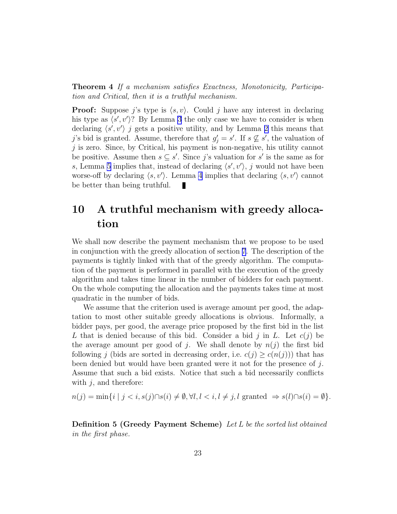<span id="page-22-0"></span>Theorem 4 If a mechanism satisfies Exactness, Monotonicity, Participation and Critical, then it is a truthful mechanism.

**Proof:** Suppose j's type is  $\langle s, v \rangle$ . Could j have any interest in declaring his type as  $\langle s', v' \rangle$ ? By Lemma [3](#page-21-0) the only case we have to consider is when declaring  $\langle s', v' \rangle$  *j* gets a positive utility, and by Lemma [2](#page-20-0) this means that j's bid is granted. Assume, therefore that  $g'_j = s'$ . If  $s \nsubseteq s'$ , the valuation of  $j$  is zero. Since, by Critical, his payment is non-negative, his utility cannot be positive. Assume then  $s \subseteq s'$ . Since j's valuation for s' is the same as for s, Lemma [5](#page-21-0) implies that, instead of declaring  $\langle s', v' \rangle$ , j would not have been worse-off by declaring  $\langle s, v' \rangle$ . Lemma [4](#page-21-0) implies that declaring  $\langle s, v' \rangle$  cannot be better than being truthful.

# 10 A truthful mechanism with greedy allocation

We shall now describe the payment mechanism that we propose to be used in conjunction with the greedy allocation of section [7](#page-12-0). The description of the payments is tightly linked with that of the greedy algorithm. The computation of the payment is performed in parallel with the execution of the greedy algorithm and takes time linear in the number of bidders for each payment. On the whole computing the allocation and the payments takes time at most quadratic in the number of bids.

We assume that the criterion used is average amount per good, the adaptation to most other suitable greedy allocations is obvious. Informally, a bidder pays, per good, the average price proposed by the first bid in the list L that is denied because of this bid. Consider a bid j in L. Let  $c(j)$  be the average amount per good of j. We shall denote by  $n(j)$  the first bid following j (bids are sorted in decreasing order, i.e.  $c(j) \geq c(n(j))$ ) that has been denied but would have been granted were it not for the presence of j. Assume that such a bid exists. Notice that such a bid necessarily conflicts with  $j$ , and therefore:

$$
n(j) = \min\{i \mid j < i, s(j) \cap s(i) \neq \emptyset, \forall l, l < i, l \neq j, l \text{ granted } \Rightarrow s(l) \cap s(i) = \emptyset\}.
$$

Definition 5 (Greedy Payment Scheme) Let L be the sorted list obtained in the first phase.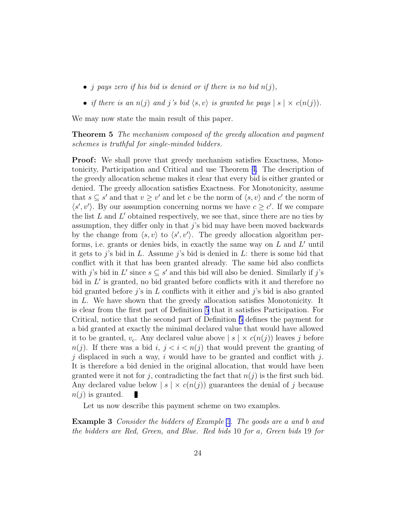- <span id="page-23-0"></span>• j pays zero if his bid is denied or if there is no bid  $n(j)$ ,
- if there is an  $n(j)$  and j's bid  $\langle s, v \rangle$  is granted he pays  $|s| \times c(n(j))$ .

We may now state the main result of this paper.

**Theorem 5** The mechanism composed of the greedy allocation and payment schemes is truthful for single-minded bidders.

**Proof:** We shall prove that greedy mechanism satisfies Exactness, Monotonicity, Participation and Critical and use Theorem [4.](#page-21-0) The description of the greedy allocation scheme makes it clear that every bid is either granted or denied. The greedy allocation satisfies Exactness. For Monotonicity, assume that  $s \subseteq s'$  and that  $v \geq v'$  and let c be the norm of  $\langle s, v \rangle$  and  $c'$  the norm of  $\langle s', v' \rangle$ . By our assumption concerning norms we have  $c \geq c'$ . If we compare the list  $L$  and  $L'$  obtained respectively, we see that, since there are no ties by assumption, they differ only in that  $j$ 's bid may have been moved backwards by the change from  $\langle s, v \rangle$  to  $\langle s', v' \rangle$ . The greedy allocation algorithm performs, i.e. grants or denies bids, in exactly the same way on  $L$  and  $L'$  until it gets to j's bid in L. Assume j's bid is denied in L: there is some bid that conflict with it that has been granted already. The same bid also conflicts with j's bid in  $L'$  since  $s \subseteq s'$  and this bid will also be denied. Similarly if j's bid in  $L'$  is granted, no bid granted before conflicts with it and therefore no bid granted before j's in L conflicts with it either and j's bid is also granted in L. We have shown that the greedy allocation satisfies Monotonicity. It is clear from the first part of Definition [5](#page-22-0) that it satisfies Participation. For Critical, notice that the second part of Definition [5](#page-22-0) defines the payment for a bid granted at exactly the minimal declared value that would have allowed it to be granted,  $v_c$ . Any declared value above  $|s| \times c(n(j))$  leaves j before  $n(j)$ . If there was a bid i,  $j < i < n(j)$  that would prevent the granting of j displaced in such a way, i would have to be granted and conflict with j. It is therefore a bid denied in the original allocation, that would have been granted were it not for j, contradicting the fact that  $n(j)$  is the first such bid. Any declared value below  $|s| \times c(n(j))$  guarantees the denial of j because  $n(j)$  is granted.

Let us now describe this payment scheme on two examples.

**Example 3** Consider the bidders of Example [2](#page-17-0). The goods are a and b and the bidders are Red, Green, and Blue. Red bids 10 for a, Green bids 19 for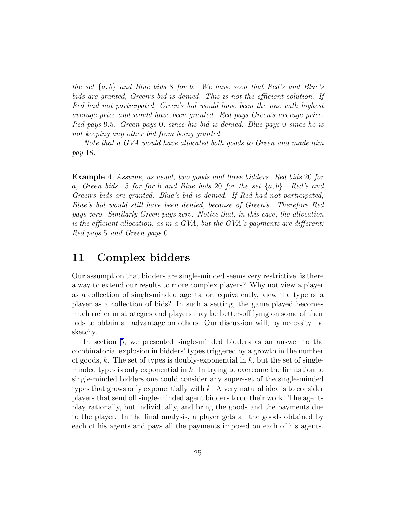<span id="page-24-0"></span>the set  $\{a, b\}$  and Blue bids 8 for b. We have seen that Red's and Blue's bids are granted, Green's bid is denied. This is not the efficient solution. If Red had not participated, Green's bid would have been the one with highest average price and would have been granted. Red pays Green's average price. Red pays 9.5. Green pays 0, since his bid is denied. Blue pays 0 since he is not keeping any other bid from being granted.

Note that a GVA would have allocated both goods to Green and made him pay 18.

Example 4 Assume, as usual, two goods and three bidders. Red bids 20 for a, Green bids 15 for for b and Blue bids 20 for the set  $\{a, b\}$ . Red's and Green's bids are granted. Blue's bid is denied. If Red had not participated, Blue's bid would still have been denied, because of Green's. Therefore Red pays zero. Similarly Green pays zero. Notice that, in this case, the allocation is the efficient allocation, as in a GVA, but the GVA's payments are different: Red pays 5 and Green pays 0.

### 11 Complex bidders

Our assumption that bidders are single-minded seems very restrictive, is there a way to extend our results to more complex players? Why not view a player as a collection of single-minded agents, or, equivalently, view the type of a player as a collection of bids? In such a setting, the game played becomes much richer in strategies and players may be better-off lying on some of their bids to obtain an advantage on others. Our discussion will, by necessity, be sketchy.

In section [5](#page-9-0), we presented single-minded bidders as an answer to the combinatorial explosion in bidders' types triggered by a growth in the number of goods,  $k$ . The set of types is doubly-exponential in  $k$ , but the set of singleminded types is only exponential in  $k$ . In trying to overcome the limitation to single-minded bidders one could consider any super-set of the single-minded types that grows only exponentially with  $k$ . A very natural idea is to consider players that send off single-minded agent bidders to do their work. The agents play rationally, but individually, and bring the goods and the payments due to the player. In the final analysis, a player gets all the goods obtained by each of his agents and pays all the payments imposed on each of his agents.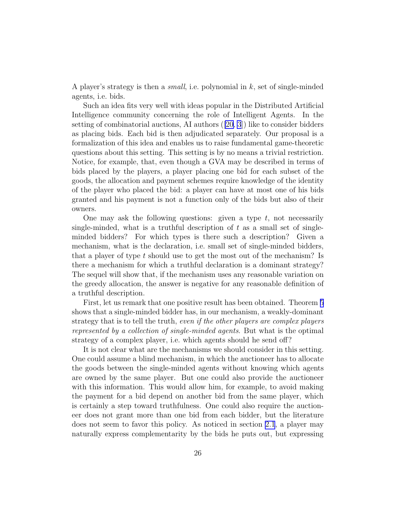A player's strategy is then a *small*, i.e. polynomial in  $k$ , set of single-minded agents, i.e. bids.

Such an idea fits very well with ideas popular in the Distributed Artificial Intelligence community concerning the role of Intelligent Agents. In the setting of combinatorial auctions, AI authors ([\[20](#page-34-0), [3](#page-32-0)]) like to consider bidders as placing bids. Each bid is then adjudicated separately. Our proposal is a formalization of this idea and enables us to raise fundamental game-theoretic questions about this setting. This setting is by no means a trivial restriction. Notice, for example, that, even though a GVA may be described in terms of bids placed by the players, a player placing one bid for each subset of the goods, the allocation and payment schemes require knowledge of the identity of the player who placed the bid: a player can have at most one of his bids granted and his payment is not a function only of the bids but also of their owners.

One may ask the following questions: given a type  $t$ , not necessarily single-minded, what is a truthful description of  $t$  as a small set of singleminded bidders? For which types is there such a description? Given a mechanism, what is the declaration, i.e. small set of single-minded bidders, that a player of type t should use to get the most out of the mechanism? Is there a mechanism for which a truthful declaration is a dominant strategy? The sequel will show that, if the mechanism uses any reasonable variation on the greedy allocation, the answer is negative for any reasonable definition of a truthful description.

First, let us remark that one positive result has been obtained. Theorem [5](#page-23-0) shows that a single-minded bidder has, in our mechanism, a weakly-dominant strategy that is to tell the truth, even if the other players are complex players represented by a collection of single-minded agents. But what is the optimal strategy of a complex player, i.e. which agents should he send off?

It is not clear what are the mechanisms we should consider in this setting. One could assume a blind mechanism, in which the auctioneer has to allocate the goods between the single-minded agents without knowing which agents are owned by the same player. But one could also provide the auctioneer with this information. This would allow him, for example, to avoid making the payment for a bid depend on another bid from the same player, which is certainly a step toward truthfulness. One could also require the auctioneer does not grant more than one bid from each bidder, but the literature does not seem to favor this policy. As noticed in section [2.1](#page-2-0), a player may naturally express complementarity by the bids he puts out, but expressing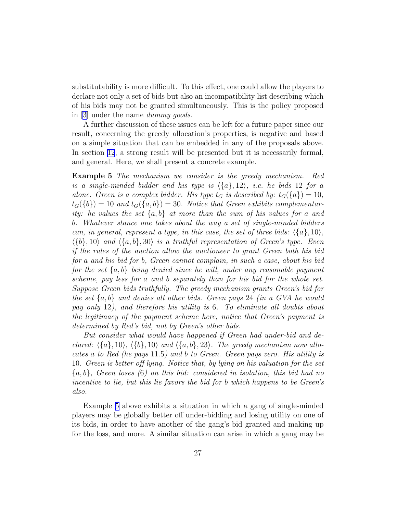substitutability is more difficult. To this effect, one could allow the players to declare not only a set of bids but also an incompatibility list describing which of his bids may not be granted simultaneously. This is the policy proposed in[[3\]](#page-32-0) under the name dummy goods.

A further discussion of these issues can be left for a future paper since our result, concerning the greedy allocation's properties, is negative and based on a simple situation that can be embedded in any of the proposals above. In section [12](#page-27-0), a strong result will be presented but it is necessarily formal, and general. Here, we shall present a concrete example.

Example 5 The mechanism we consider is the greedy mechanism. Red is a single-minded bidder and his type is  $\langle \{a\}, 12 \rangle$ , i.e. he bids 12 for a alone. Green is a complex bidder. His type  $t_G$  is described by:  $t_G({a}) = 10$ ,  $t_G({b}) = 10$  and  $t_G({a, b}) = 30$ . Notice that Green exhibits complementarity: he values the set  $\{a, b\}$  at more than the sum of his values for a and b. Whatever stance one takes about the way a set of single-minded bidders can, in general, represent a type, in this case, the set of three bids:  $\langle \{a\}, 10 \rangle$ ,  $\langle \{b\}, 10 \rangle$  and  $\langle \{a, b\}, 30 \rangle$  is a truthful representation of Green's type. Even if the rules of the auction allow the auctioneer to grant Green both his bid for a and his bid for b, Green cannot complain, in such a case, about his bid for the set  $\{a, b\}$  being denied since he will, under any reasonable payment scheme, pay less for a and b separately than for his bid for the whole set. Suppose Green bids truthfully. The greedy mechanism grants Green's bid for the set  $\{a, b\}$  and denies all other bids. Green pays 24 (in a GVA he would pay only 12), and therefore his utility is 6. To eliminate all doubts about the legitimacy of the payment scheme here, notice that Green's payment is determined by Red's bid, not by Green's other bids.

But consider what would have happened if Green had under-bid and declared:  $\langle \{a\}, 10\rangle$ ,  $\langle \{b\}, 10\rangle$  and  $\langle \{a, b\}, 23\rangle$ . The greedy mechanism now allocates a to Red (he pays 11.5) and b to Green. Green pays zero. His utility is 10. Green is better off lying. Notice that, by lying on his valuation for the set  ${a, b}$ , Green loses (6) on this bid: considered in isolation, this bid had no incentive to lie, but this lie favors the bid for b which happens to be Green's also.

Example 5 above exhibits a situation in which a gang of single-minded players may be globally better off under-bidding and losing utility on one of its bids, in order to have another of the gang's bid granted and making up for the loss, and more. A similar situation can arise in which a gang may be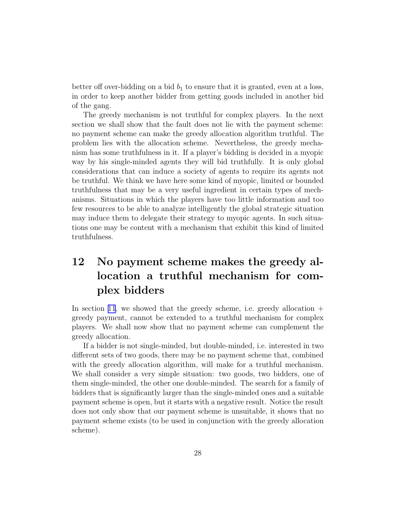<span id="page-27-0"></span>better off over-bidding on a bid  $b_1$  to ensure that it is granted, even at a loss, in order to keep another bidder from getting goods included in another bid of the gang.

The greedy mechanism is not truthful for complex players. In the next section we shall show that the fault does not lie with the payment scheme: no payment scheme can make the greedy allocation algorithm truthful. The problem lies with the allocation scheme. Nevertheless, the greedy mechanism has some truthfulness in it. If a player's bidding is decided in a myopic way by his single-minded agents they will bid truthfully. It is only global considerations that can induce a society of agents to require its agents not be truthful. We think we have here some kind of myopic, limited or bounded truthfulness that may be a very useful ingredient in certain types of mechanisms. Situations in which the players have too little information and too few resources to be able to analyze intelligently the global strategic situation may induce them to delegate their strategy to myopic agents. In such situations one may be content with a mechanism that exhibit this kind of limited truthfulness.

# 12 No payment scheme makes the greedy allocation a truthful mechanism for complex bidders

In section [11](#page-24-0), we showed that the greedy scheme, i.e. greedy allocation  $+$ greedy payment, cannot be extended to a truthful mechanism for complex players. We shall now show that no payment scheme can complement the greedy allocation.

If a bidder is not single-minded, but double-minded, i.e. interested in two different sets of two goods, there may be no payment scheme that, combined with the greedy allocation algorithm, will make for a truthful mechanism. We shall consider a very simple situation: two goods, two bidders, one of them single-minded, the other one double-minded. The search for a family of bidders that is significantly larger than the single-minded ones and a suitable payment scheme is open, but it starts with a negative result. Notice the result does not only show that our payment scheme is unsuitable, it shows that no payment scheme exists (to be used in conjunction with the greedy allocation scheme).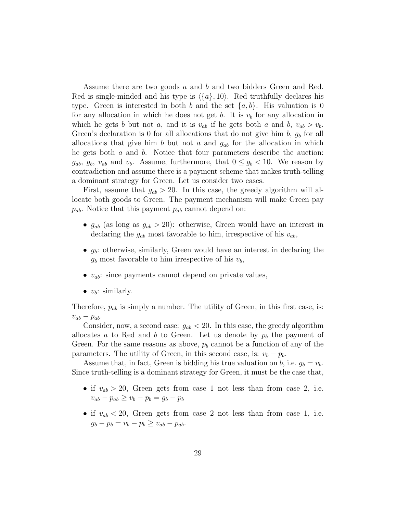Assume there are two goods a and b and two bidders Green and Red. Red is single-minded and his type is  $\langle \{a\}, 10 \rangle$ . Red truthfully declares his type. Green is interested in both b and the set  $\{a, b\}$ . His valuation is 0 for any allocation in which he does not get b. It is  $v<sub>b</sub>$  for any allocation in which he gets b but not a, and it is  $v_{ab}$  if he gets both a and b,  $v_{ab} > v_b$ . Green's declaration is 0 for all allocations that do not give him b,  $g_b$  for all allocations that give him  $b$  but not  $a$  and  $g_{ab}$  for the allocation in which he gets both a and b. Notice that four parameters describe the auction:  $g_{ab}$ ,  $g_b$ ,  $v_{ab}$  and  $v_b$ . Assume, furthermore, that  $0 \le g_b < 10$ . We reason by contradiction and assume there is a payment scheme that makes truth-telling a dominant strategy for Green. Let us consider two cases.

First, assume that  $g_{ab} > 20$ . In this case, the greedy algorithm will allocate both goods to Green. The payment mechanism will make Green pay  $p_{ab}$ . Notice that this payment  $p_{ab}$  cannot depend on:

- $g_{ab}$  (as long as  $g_{ab} > 20$ ): otherwise, Green would have an interest in declaring the  $g_{ab}$  most favorable to him, irrespective of his  $v_{ab}$ ,
- $g_b$ : otherwise, similarly, Green would have an interest in declaring the  $g_b$  most favorable to him irrespective of his  $v_b$ ,
- $v_{ab}$ : since payments cannot depend on private values,
- $v_b$ : similarly.

Therefore,  $p_{ab}$  is simply a number. The utility of Green, in this first case, is:  $v_{ab} - p_{ab}.$ 

Consider, now, a second case:  $g_{ab}$  < 20. In this case, the greedy algorithm allocates a to Red and b to Green. Let us denote by  $p_b$  the payment of Green. For the same reasons as above,  $p_b$  cannot be a function of any of the parameters. The utility of Green, in this second case, is:  $v_b - p_b$ .

Assume that, in fact, Green is bidding his true valuation on b, i.e.  $g_b = v_b$ . Since truth-telling is a dominant strategy for Green, it must be the case that,

- if  $v_{ab} > 20$ , Green gets from case 1 not less than from case 2, i.e.  $v_{ab} - p_{ab} \ge v_b - p_b = g_b - p_b$
- if  $v_{ab} < 20$ , Green gets from case 2 not less than from case 1, i.e.  $g_b - p_b = v_b - p_b \ge v_{ab} - p_{ab}.$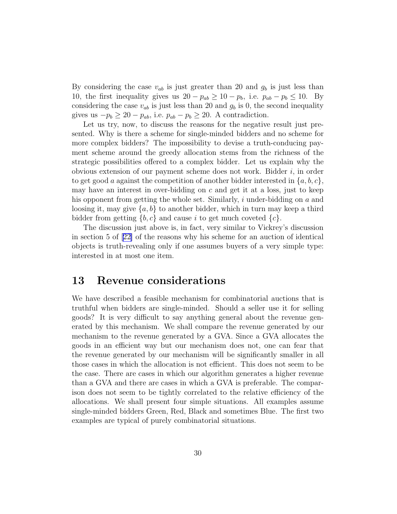<span id="page-29-0"></span>By considering the case  $v_{ab}$  is just greater than 20 and  $g_b$  is just less than 10, the first inequality gives us  $20 - p_{ab} \ge 10 - p_b$ , i.e.  $p_{ab} - p_b \le 10$ . By considering the case  $v_{ab}$  is just less than 20 and  $g_b$  is 0, the second inequality gives us  $-p_b \ge 20 - p_{ab}$ , i.e.  $p_{ab} - p_b \ge 20$ . A contradiction.

Let us try, now, to discuss the reasons for the negative result just presented. Why is there a scheme for single-minded bidders and no scheme for more complex bidders? The impossibility to devise a truth-conducing payment scheme around the greedy allocation stems from the richness of the strategic possibilities offered to a complex bidder. Let us explain why the obvious extension of our payment scheme does not work. Bidder i, in order to get good a against the competition of another bidder interested in  $\{a, b, c\}$ , may have an interest in over-bidding on  $c$  and get it at a loss, just to keep his opponent from getting the whole set. Similarly,  $i$  under-bidding on  $a$  and loosing it, may give  $\{a, b\}$  to another bidder, which in turn may keep a third bidder from getting  $\{b, c\}$  and cause i to get much coveted  $\{c\}$ .

The discussion just above is, in fact, very similar to Vickrey's discussion in section 5 of [\[22\]](#page-34-0) of the reasons why his scheme for an auction of identical objects is truth-revealing only if one assumes buyers of a very simple type: interested in at most one item.

### 13 Revenue considerations

We have described a feasible mechanism for combinatorial auctions that is truthful when bidders are single-minded. Should a seller use it for selling goods? It is very difficult to say anything general about the revenue generated by this mechanism. We shall compare the revenue generated by our mechanism to the revenue generated by a GVA. Since a GVA allocates the goods in an efficient way but our mechanism does not, one can fear that the revenue generated by our mechanism will be significantly smaller in all those cases in which the allocation is not efficient. This does not seem to be the case. There are cases in which our algorithm generates a higher revenue than a GVA and there are cases in which a GVA is preferable. The comparison does not seem to be tightly correlated to the relative efficiency of the allocations. We shall present four simple situations. All examples assume single-minded bidders Green, Red, Black and sometimes Blue. The first two examples are typical of purely combinatorial situations.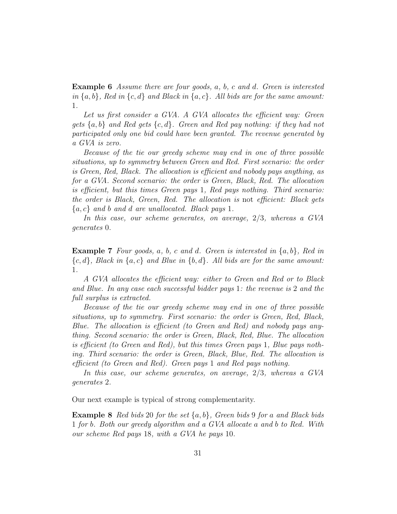Example 6 Assume there are four goods, a, b, c and d. Green is interested in  $\{a, b\}$ , Red in  $\{c, d\}$  and Black in  $\{a, c\}$ . All bids are for the same amount: 1.

Let us first consider a GVA. A GVA allocates the efficient way: Green gets  $\{a, b\}$  and Red gets  $\{c, d\}$ . Green and Red pay nothing: if they had not participated only one bid could have been granted. The revenue generated by a GVA is zero.

Because of the tie our greedy scheme may end in one of three possible situations, up to symmetry between Green and Red. First scenario: the order is Green, Red, Black. The allocation is efficient and nobody pays anything, as for a GVA. Second scenario: the order is Green, Black, Red. The allocation is efficient, but this times Green pays 1, Red pays nothing. Third scenario: the order is Black, Green, Red. The allocation is not efficient: Black gets  ${a, c}$  and b and d are unallocated. Black pays 1.

In this case, our scheme generates, on average, 2/3, whereas a GVA generates 0.

**Example 7** Four goods, a, b, c and d. Green is interested in  $\{a, b\}$ , Red in  ${c, d}$ , Black in  ${a, c}$  and Blue in  ${b, d}$ . All bids are for the same amount: 1.

A GVA allocates the efficient way: either to Green and Red or to Black and Blue. In any case each successful bidder pays 1: the revenue is 2 and the full surplus is extracted.

Because of the tie our greedy scheme may end in one of three possible situations, up to symmetry. First scenario: the order is Green, Red, Black, Blue. The allocation is efficient (to Green and Red) and nobody pays anything. Second scenario: the order is Green, Black, Red, Blue. The allocation is efficient (to Green and Red), but this times Green pays 1, Blue pays nothing. Third scenario: the order is Green, Black, Blue, Red. The allocation is efficient (to Green and Red). Green pays 1 and Red pays nothing.

In this case, our scheme generates, on average, 2/3, whereas a GVA generates 2.

Our next example is typical of strong complementarity.

**Example 8** Red bids 20 for the set  $\{a, b\}$ , Green bids 9 for a and Black bids 1 for b. Both our greedy algorithm and a GVA allocate a and b to Red. With our scheme Red pays 18, with a GVA he pays 10.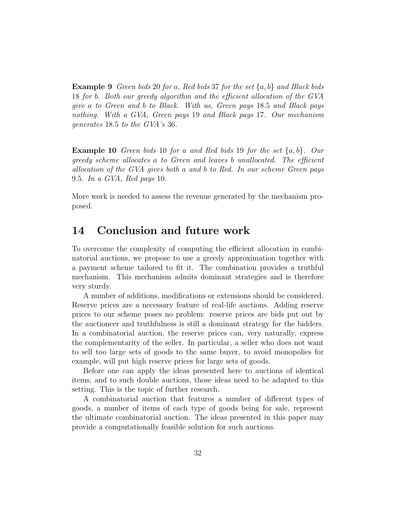**Example 9** Green bids 20 for a, Red bids 37 for the set  $\{a, b\}$  and Black bids 18 for b. Both our greedy algorithm and the efficient allocation of the GVA give a to Green and b to Black. With us, Green pays 18.5 and Black pays nothing. With a GVA, Green pays 19 and Black pays 17. Our mechanism generates 18.5 to the GVA's 36.

**Example 10** Green bids 10 for a and Red bids 19 for the set  $\{a, b\}$ . Our greedy scheme allocates a to Green and leaves b unallocated. The efficient allocation of the GVA gives both a and b to Red. In our scheme Green pays 9.5. In a GVA, Red pays 10.

More work is needed to assess the revenue generated by the mechanism proposed.

## 14 Conclusion and future work

To overcome the complexity of computing the efficient allocation in combinatorial auctions, we propose to use a greedy approximation together with a payment scheme tailored to fit it. The combination provides a truthful mechanism. This mechanism admits dominant strategies and is therefore very sturdy.

A number of additions, modifications or extensions should be considered. Reserve prices are a necessary feature of real-life auctions. Adding reserve prices to our scheme poses no problem: reserve prices are bids put out by the auctioneer and truthfulness is still a dominant strategy for the bidders. In a combinatorial auction, the reserve prices can, very naturally, express the complementarity of the seller. In particular, a seller who does not want to sell too large sets of goods to the same buyer, to avoid monopolies for example, will put high reserve prices for large sets of goods.

Before one can apply the ideas presented here to auctions of identical items, and to such double auctions, those ideas need to be adapted to this setting. This is the topic of further research.

A combinatorial auction that features a number of different types of goods, a number of items of each type of goods being for sale, represent the ultimate combinatorial auction. The ideas presented in this paper may provide a computationally feasible solution for such auctions.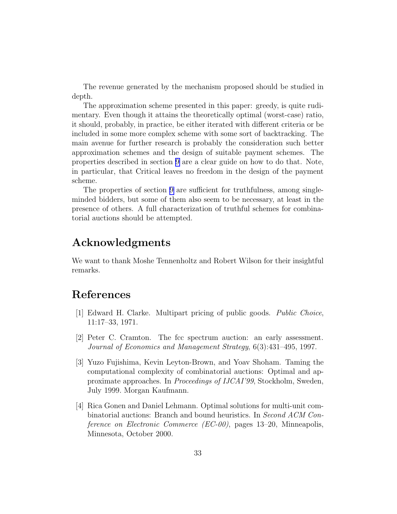<span id="page-32-0"></span>The revenue generated by the mechanism proposed should be studied in depth.

The approximation scheme presented in this paper: greedy, is quite rudimentary. Even though it attains the theoretically optimal (worst-case) ratio, it should, probably, in practice, be either iterated with different criteria or be included in some more complex scheme with some sort of backtracking. The main avenue for further research is probably the consideration such better approximation schemes and the design of suitable payment schemes. The properties described in section [9](#page-17-0) are a clear guide on how to do that. Note, in particular, that Critical leaves no freedom in the design of the payment scheme.

The properties of section [9](#page-17-0) are sufficient for truthfulness, among singleminded bidders, but some of them also seem to be necessary, at least in the presence of others. A full characterization of truthful schemes for combinatorial auctions should be attempted.

# Acknowledgments

We want to thank Moshe Tennenholtz and Robert Wilson for their insightful remarks.

# References

- [1] Edward H. Clarke. Multipart pricing of public goods. Public Choice, 11:17–33, 1971.
- [2] Peter C. Cramton. The fcc spectrum auction: an early assessment. Journal of Economics and Management Strategy, 6(3):431–495, 1997.
- [3] Yuzo Fujishima, Kevin Leyton-Brown, and Yoav Shoham. Taming the computational complexity of combinatorial auctions: Optimal and approximate approaches. In Proceedings of IJCAI'99, Stockholm, Sweden, July 1999. Morgan Kaufmann.
- [4] Rica Gonen and Daniel Lehmann. Optimal solutions for multi-unit combinatorial auctions: Branch and bound heuristics. In Second ACM Conference on Electronic Commerce (EC-00), pages 13–20, Minneapolis, Minnesota, October 2000.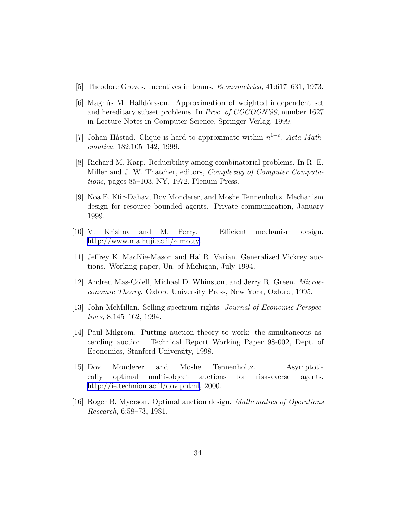- <span id="page-33-0"></span>[5] Theodore Groves. Incentives in teams. Econometrica, 41:617–631, 1973.
- [6] Magnús M. Halldórsson. Approximation of weighted independent set and hereditary subset problems. In Proc. of COCOON'99, number 1627 in Lecture Notes in Computer Science. Springer Verlag, 1999.
- [7] Johan Håstad. Clique is hard to approximate within  $n^{1-\epsilon}$ . Acta Mathematica, 182:105–142, 1999.
- [8] Richard M. Karp. Reducibility among combinatorial problems. In R. E. Miller and J. W. Thatcher, editors, Complexity of Computer Computations, pages 85–103, NY, 1972. Plenum Press.
- [9] Noa E. Kfir-Dahav, Dov Monderer, and Moshe Tennenholtz. Mechanism design for resource bounded agents. Private communication, January 1999.
- [10] V. Krishna and M. Perry. Efficient mechanism design. [http://www.ma.huji.ac.il/](http://www.ma.huji.ac.il/~motty)∼motty.
- [11] Jeffrey K. MacKie-Mason and Hal R. Varian. Generalized Vickrey auctions. Working paper, Un. of Michigan, July 1994.
- [12] Andreu Mas-Colell, Michael D. Whinston, and Jerry R. Green. Microeconomic Theory. Oxford University Press, New York, Oxford, 1995.
- [13] John McMillan. Selling spectrum rights. Journal of Economic Perspectives, 8:145–162, 1994.
- [14] Paul Milgrom. Putting auction theory to work: the simultaneous ascending auction. Technical Report Working Paper 98-002, Dept. of Economics, Stanford University, 1998.
- [15] Dov Monderer and Moshe Tennenholtz. Asymptotically optimal multi-object auctions for risk-averse agents. [http://ie.technion.ac.il/dov.phtml,](http://ie.technion.ac.il/dov.phtml) 2000.
- [16] Roger B. Myerson. Optimal auction design. Mathematics of Operations Research, 6:58–73, 1981.